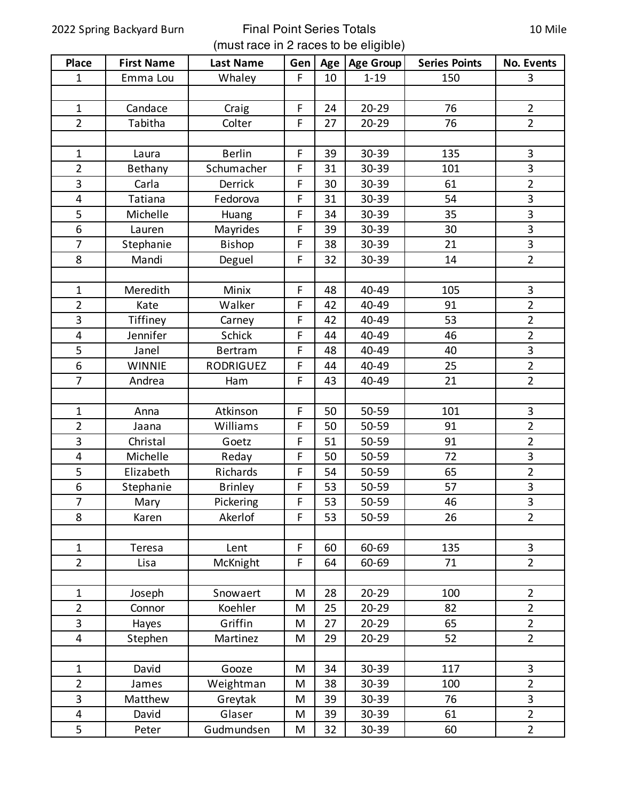## 2022 Spring Backyard Burn Final Point Series Totals (must race in 2 races to be eligible)

| <b>Place</b>            | <b>First Name</b> | <b>Last Name</b> | Gen | Age | <b>Age Group</b> | <b>Series Points</b> | <b>No. Events</b> |
|-------------------------|-------------------|------------------|-----|-----|------------------|----------------------|-------------------|
| $\mathbf{1}$            | Emma Lou          | Whaley           | F   | 10  | $1 - 19$         | 150                  | $\overline{3}$    |
|                         |                   |                  |     |     |                  |                      |                   |
| $\mathbf{1}$            | Candace           | Craig            | F   | 24  | $20 - 29$        | 76                   | $\overline{2}$    |
| $\overline{2}$          | Tabitha           | Colter           | F   | 27  | $20 - 29$        | 76                   | $\overline{2}$    |
|                         |                   |                  |     |     |                  |                      |                   |
| $\mathbf{1}$            | Laura             | <b>Berlin</b>    | F   | 39  | 30-39            | 135                  | $\mathbf{3}$      |
| $\overline{2}$          | Bethany           | Schumacher       | F   | 31  | 30-39            | 101                  | 3                 |
| 3                       | Carla             | <b>Derrick</b>   | F   | 30  | 30-39            | 61                   | $\overline{2}$    |
| $\overline{\mathbf{4}}$ | Tatiana           | Fedorova         | F   | 31  | 30-39            | 54                   | 3                 |
| 5                       | Michelle          | Huang            | F   | 34  | 30-39            | 35                   | 3                 |
| 6                       | Lauren            | Mayrides         | F   | 39  | 30-39            | 30                   | 3                 |
| $\overline{7}$          | Stephanie         | Bishop           | F   | 38  | 30-39            | 21                   | 3                 |
| 8                       | Mandi             | Deguel           | F   | 32  | 30-39            | 14                   | $\overline{2}$    |
|                         |                   |                  |     |     |                  |                      |                   |
| $\mathbf{1}$            | Meredith          | Minix            | F   | 48  | 40-49            | 105                  | 3                 |
| $\overline{2}$          | Kate              | Walker           | F   | 42  | 40-49            | 91                   | $\overline{2}$    |
| 3                       | Tiffiney          | Carney           | F   | 42  | 40-49            | 53                   | $\overline{2}$    |
| 4                       | Jennifer          | <b>Schick</b>    | F   | 44  | 40-49            | 46                   | $\overline{2}$    |
| 5                       | Janel             | Bertram          | F   | 48  | 40-49            | 40                   | 3                 |
| 6                       | <b>WINNIE</b>     | RODRIGUEZ        | F   | 44  | 40-49            | 25                   | $\overline{2}$    |
| $\overline{7}$          | Andrea            | Ham              | F   | 43  | 40-49            | 21                   | $\overline{2}$    |
|                         |                   |                  |     |     |                  |                      |                   |
| $\mathbf{1}$            | Anna              | Atkinson         | F   | 50  | 50-59            | 101                  | 3                 |
| $\overline{2}$          | Jaana             | Williams         | F   | 50  | 50-59            | 91                   | $\overline{2}$    |
| 3                       | Christal          | Goetz            | F   | 51  | 50-59            | 91                   | $\overline{2}$    |
| $\overline{\mathbf{4}}$ | Michelle          | Reday            | F   | 50  | 50-59            | 72                   | $\overline{3}$    |
| 5                       | Elizabeth         | Richards         | F   | 54  | 50-59            | 65                   | $\overline{2}$    |
| $\boldsymbol{6}$        | Stephanie         | <b>Brinley</b>   | F   | 53  | 50-59            | 57                   | $\mathbf{3}$      |
| $\overline{7}$          | Mary              | Pickering        | F   | 53  | 50-59            | 46                   | 3                 |
| 8                       | Karen             | Akerlof          | F   | 53  | 50-59            | 26                   | $\overline{2}$    |
|                         |                   |                  |     |     |                  |                      |                   |
| $\mathbf{1}$            | Teresa            | Lent             | F   | 60  | 60-69            | 135                  | $\mathbf{3}$      |
| $\overline{2}$          | Lisa              | McKnight         | F   | 64  | 60-69            | 71                   | $\overline{2}$    |
|                         |                   |                  |     |     |                  |                      |                   |
| $\mathbf{1}$            | Joseph            | Snowaert         | M   | 28  | $20 - 29$        | 100                  | $\overline{2}$    |
| $\overline{2}$          | Connor            | Koehler          | M   | 25  | $20 - 29$        | 82                   | $\overline{2}$    |
| 3                       | Hayes             | Griffin          | M   | 27  | $20 - 29$        | 65                   | $\overline{2}$    |
| $\overline{\mathbf{4}}$ | Stephen           | Martinez         | M   | 29  | 20-29            | 52                   | $\overline{2}$    |
|                         |                   |                  |     |     |                  |                      |                   |
| $\mathbf 1$             | David             | Gooze            | M   | 34  | 30-39            | 117                  | $\mathbf{3}$      |
| $\overline{2}$          | James             | Weightman        | M   | 38  | 30-39            | 100                  | $\overline{2}$    |
| 3                       | Matthew           | Greytak          | M   | 39  | 30-39            | 76                   | $\mathbf{3}$      |
| $\overline{\mathbf{4}}$ | David             | Glaser           | M   | 39  | 30-39            | 61                   | $\overline{2}$    |
| 5                       | Peter             | Gudmundsen       | M   | 32  | 30-39            | 60                   | $\overline{2}$    |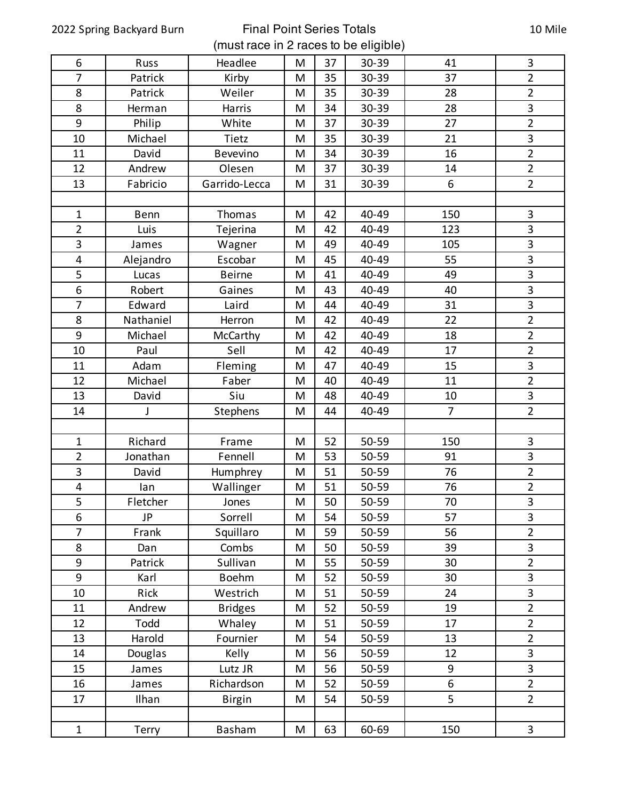2022 Spring Backyard Burn Final Point Series Totals (must race in 2 races to be eligible)

| 6                       | Russ      | Headlee        | M | 37 | 30-39 | 41             | $\mathbf{3}$   |
|-------------------------|-----------|----------------|---|----|-------|----------------|----------------|
| $\overline{7}$          | Patrick   | Kirby          | M | 35 | 30-39 | 37             | $\overline{2}$ |
| 8                       | Patrick   | Weiler         | M | 35 | 30-39 | 28             | $\overline{2}$ |
| 8                       | Herman    | Harris         | M | 34 | 30-39 | 28             | 3              |
| 9                       | Philip    | White          | M | 37 | 30-39 | 27             | $\overline{2}$ |
| 10                      | Michael   | Tietz          | M | 35 | 30-39 | 21             | 3              |
| 11                      | David     | Bevevino       | M | 34 | 30-39 | 16             | $\overline{2}$ |
| 12                      | Andrew    | Olesen         | M | 37 | 30-39 | 14             | $\overline{2}$ |
| 13                      | Fabricio  | Garrido-Lecca  | M | 31 | 30-39 | 6              | $\overline{2}$ |
|                         |           |                |   |    |       |                |                |
| $\mathbf{1}$            | Benn      | Thomas         | M | 42 | 40-49 | 150            | $\mathbf{3}$   |
| $\overline{2}$          | Luis      | Tejerina       | M | 42 | 40-49 | 123            | 3              |
| 3                       | James     | Wagner         | M | 49 | 40-49 | 105            | $\overline{3}$ |
| 4                       | Alejandro | Escobar        | M | 45 | 40-49 | 55             | 3              |
| 5                       | Lucas     | <b>Beirne</b>  | M | 41 | 40-49 | 49             | 3              |
| 6                       | Robert    | Gaines         | M | 43 | 40-49 | 40             | 3              |
| $\overline{7}$          | Edward    | Laird          | M | 44 | 40-49 | 31             | $\overline{3}$ |
| 8                       | Nathaniel | Herron         | M | 42 | 40-49 | 22             | $\overline{2}$ |
| 9                       | Michael   | McCarthy       | M | 42 | 40-49 | 18             | $\overline{2}$ |
| 10                      | Paul      | Sell           | M | 42 | 40-49 | 17             | $\overline{2}$ |
| 11                      | Adam      | Fleming        | M | 47 | 40-49 | 15             | $\mathbf{3}$   |
| 12                      | Michael   | Faber          | M | 40 | 40-49 | 11             | $\overline{2}$ |
| 13                      | David     | Siu            | M | 48 | 40-49 | 10             | $\mathbf{3}$   |
| 14                      | J         | Stephens       | M | 44 | 40-49 | $\overline{7}$ | $\overline{2}$ |
|                         |           |                |   |    |       |                |                |
| $\mathbf{1}$            | Richard   | Frame          | M | 52 | 50-59 | 150            | $\mathbf{3}$   |
| $\overline{2}$          | Jonathan  | Fennell        | M | 53 | 50-59 | 91             | 3              |
| 3                       | David     | Humphrey       | M | 51 | 50-59 | 76             | $\overline{2}$ |
| $\overline{\mathbf{4}}$ | lan       | Wallinger      | M | 51 | 50-59 | 76             | $\overline{2}$ |
| 5                       | Fletcher  | Jones          | M | 50 | 50-59 | 70             | 3              |
| 6                       | JP        | Sorrell        | M | 54 | 50-59 | 57             | 3              |
| $\overline{7}$          | Frank     | Squillaro      | M | 59 | 50-59 | 56             | $\overline{2}$ |
| 8                       | Dan       | Combs          | M | 50 | 50-59 | 39             | 3              |
| 9                       | Patrick   | Sullivan       | M | 55 | 50-59 | 30             | $\overline{2}$ |
| 9                       | Karl      | <b>Boehm</b>   | M | 52 | 50-59 | 30             | 3              |
| 10                      | Rick      | Westrich       | M | 51 | 50-59 | 24             | 3              |
| 11                      | Andrew    | <b>Bridges</b> | M | 52 | 50-59 | 19             | $\overline{2}$ |
| 12                      | Todd      | Whaley         | M | 51 | 50-59 | 17             | $\overline{2}$ |
| 13                      | Harold    | Fournier       | M | 54 | 50-59 | 13             | $\overline{2}$ |
| 14                      | Douglas   | Kelly          | M | 56 | 50-59 | 12             | 3              |
| 15                      | James     | Lutz JR        | M | 56 | 50-59 | 9              | 3              |
| 16                      | James     | Richardson     | M | 52 | 50-59 | 6              | $\overline{2}$ |
| 17                      | Ilhan     | <b>Birgin</b>  | M | 54 | 50-59 | 5              | $\overline{2}$ |
|                         |           |                |   |    |       |                |                |
| $\mathbf{1}$            | Terry     | Basham         | M | 63 | 60-69 | 150            | 3              |